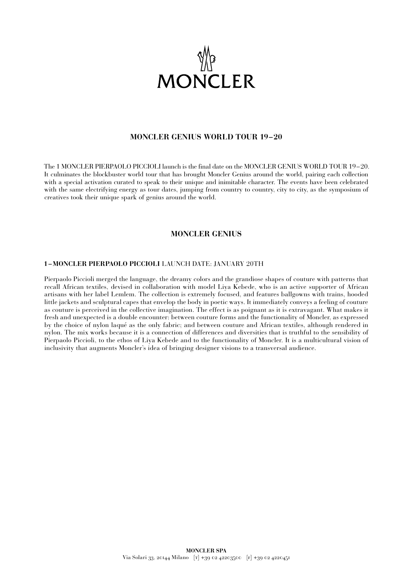

## **MONCLER GENIUS WORLD TOUR 19–20**

The 1 MONCLER PIERPAOLO PICCIOLI launch is the final date on the MONCLER GENIUS WORLD TOUR 19–20. It culminates the blockbuster world tour that has brought Moncler Genius around the world, pairing each collection with a special activation curated to speak to their unique and inimitable character. The events have been celebrated with the same electrifying energy as tour dates, jumping from country to country, city to city, as the symposium of creatives took their unique spark of genius around the world.

### **MONCLER GENIUS**

#### **1 –MONCLER PIERPAOLO PICCIOLI** LAUNCH DATE: JANUARY 20TH

Pierpaolo Piccioli merged the language, the dreamy colors and the grandiose shapes of couture with patterns that recall African textiles, devised in collaboration with model Liya Kebede, who is an active supporter of African artisans with her label Lemlem. The collection is extremely focused, and features ballgowns with trains, hooded little jackets and sculptural capes that envelop the body in poetic ways. It immediately conveys a feeling of couture as couture is perceived in the collective imagination. The effect is as poignant as it is extravagant. What makes it fresh and unexpected is a double encounter: between couture forms and the functionality of Moncler, as expressed by the choice of nylon laqué as the only fabric; and between couture and African textiles, although rendered in nylon. The mix works because it is a connection of differences and diversities that is truthful to the sensibility of Pierpaolo Piccioli, to the ethos of Liya Kebede and to the functionality of Moncler. It is a multicultural vision of inclusivity that augments Moncler's idea of bringing designer visions to a transversal audience.